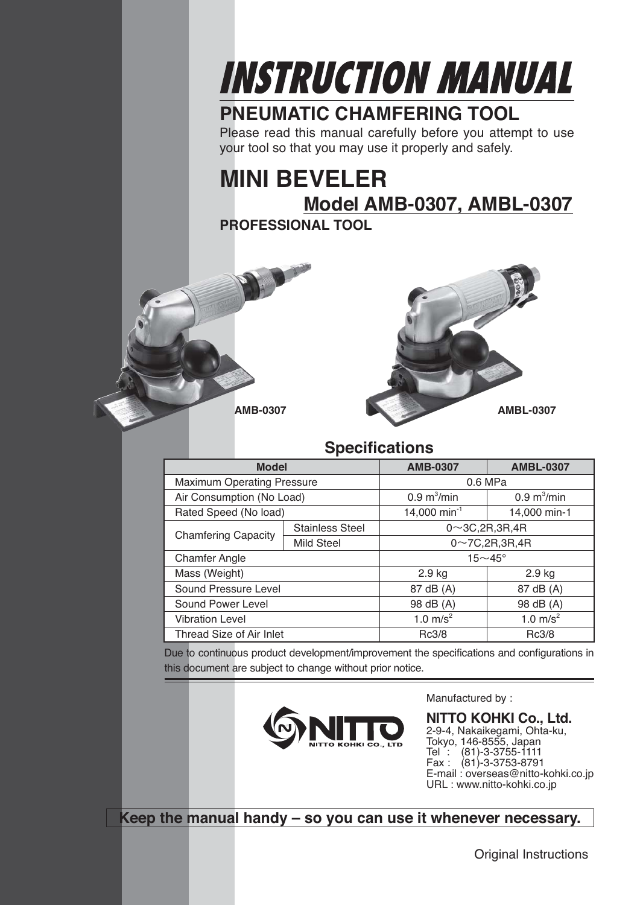

## **PNEUMATIC CHAMFERING TOOL**

Please read this manual carefully before you attempt to use your tool so that you may use it properly and safely.

# **MINI BEVELER Model AMB-0307, AMBL-0307**

**PROFESSIONAL TOOL**



#### **Specifications**

| <b>Model</b>                      |                        | <b>AMB-0307</b>              | <b>AMBL-0307</b>                  |
|-----------------------------------|------------------------|------------------------------|-----------------------------------|
| <b>Maximum Operating Pressure</b> |                        | 0.6 MPa                      |                                   |
| Air Consumption (No Load)         |                        | $0.9 \text{ m}^3/\text{min}$ | $0.9 \text{ m}^3/\text{min}$      |
| Rated Speed (No load)             |                        | 14,000 min <sup>-1</sup>     | 14,000 min-1                      |
|                                   | <b>Stainless Steel</b> | $0 \sim 3C, 2R, 3R, 4R$      |                                   |
| <b>Chamfering Capacity</b>        | <b>Mild Steel</b>      |                              | $0\nightharpoonup$ 7C, 2R, 3R, 4R |
| <b>Chamfer Angle</b>              |                        | $15 \sim 45^\circ$           |                                   |
| Mass (Weight)                     |                        | $2.9$ kg                     | $2.9$ kg                          |
| Sound Pressure Level              |                        | 87 dB (A)                    | 87 dB (A)                         |
| Sound Power Level                 |                        | 98 dB (A)                    | 98 dB (A)                         |
| <b>Vibration Level</b>            |                        | 1.0 $m/s^2$                  | 1.0 $m/s^2$                       |
| Thread Size of Air Inlet          |                        | Rc3/8                        | Rc3/8                             |

Due to continuous product development/improvement the specifications and configurations in this document are subject to change without prior notice.



Manufactured by :

**NITTO KOHKI Co., Ltd.** 2-9-4, Nakaikegami, Ohta-ku, Tokyo, 146-8555, Japan Tel : (81)-3-3755-1111 Fax : (81)-3-3753-8791 E-mail : overseas@nitto-kohki.co.jp URL : www.nitto-kohki.co.jp

**Keep the manual handy – so you can use it whenever necessary.**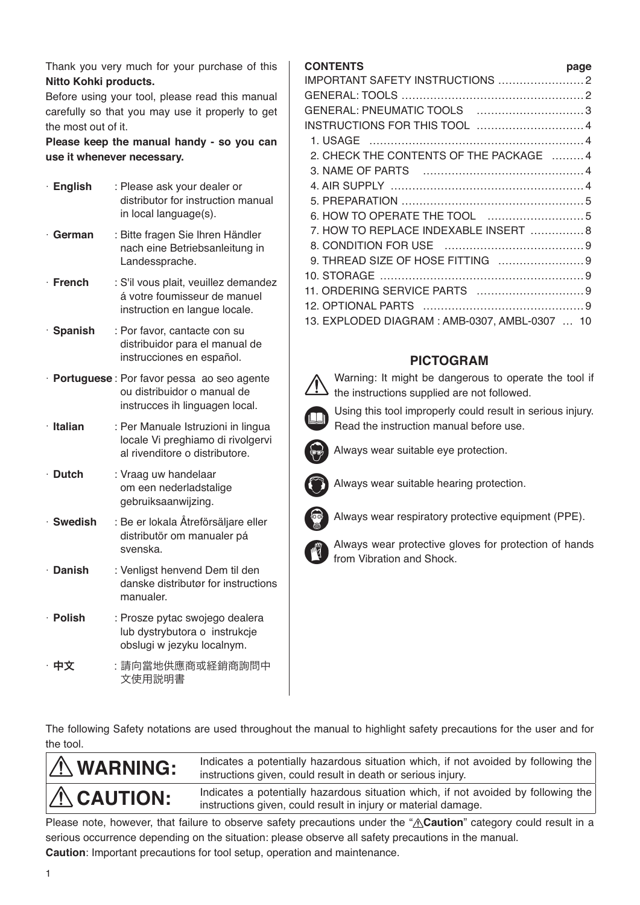Thank you very much for your purchase of this **Nitto Kohki products.**

Before using your tool, please read this manual carefully so that you may use it properly to get the most out of it.

**Please keep the manual handy - so you can use it whenever necessary.**

| · English      | : Please ask your dealer or<br>distributor for instruction manual<br>in local language(s).                   |
|----------------|--------------------------------------------------------------------------------------------------------------|
| $\cdot$ German | : Bitte fragen Sie Ihren Händler<br>nach eine Betriebsanleitung in<br>Landessprache.                         |
| $\cdot$ French | : S'il vous plait, veuillez demandez<br>á votre foumisseur de manuel<br>instruction en langue locale.        |
| · Spanish      | : Por favor, cantacte con su<br>distribuidor para el manual de<br>instrucciones en español.                  |
|                | · Portuguese: Por favor pessa ao seo agente<br>ou distribuidor o manual de<br>instrucces ih linguagen local. |
| · Italian      | : Per Manuale Istruzioni in lingua<br>locale Vi preghiamo di rivolgervi<br>al rivenditore o distributore.    |
| $\cdot$ Dutch  | : Vraag uw handelaar<br>om een nederladstalige<br>gebruiksaanwijzing.                                        |
| · Swedish      | : Be er lokala Åtreförsäljare eller<br>distributör om manualer pá<br>svenska.                                |
| · Danish       | : Venligst henvend Dem til den<br>danske distributør for instructions<br>manualer.                           |
| · Polish       | : Prosze pytac swojego dealera<br>lub dystrybutora o instrukcje<br>obslugi w jezyku localnym.                |
| 中文             | :請向當地供應商或経銷商詢問中<br>文使用説明書                                                                                    |

#### **CONTENTS page**

|                                               | puyu |
|-----------------------------------------------|------|
|                                               |      |
|                                               |      |
| GENERAL: PNEUMATIC TOOLS 3                    |      |
|                                               |      |
|                                               |      |
| 2. CHECK THE CONTENTS OF THE PACKAGE  4       |      |
|                                               |      |
|                                               |      |
|                                               |      |
|                                               |      |
| 7. HOW TO REPLACE INDEXABLE INSERT  8         |      |
|                                               |      |
| 9. THREAD SIZE OF HOSE FITTING 9              |      |
|                                               |      |
|                                               |      |
|                                               |      |
| 13. EXPLODED DIAGRAM: AMB-0307, AMBL-0307  10 |      |
|                                               |      |

#### **PICTOGRAM**

 Warning: It might be dangerous to operate the tool if the instructions supplied are not followed.

 Using this tool improperly could result in serious injury. Read the instruction manual before use.



Always wear suitable eye protection.



Always wear suitable hearing protection.

Always wear respiratory protective equipment (PPE).



 Always wear protective gloves for protection of hands from Vibration and Shock.

The following Safety notations are used throughout the manual to highlight safety precautions for the user and for the tool.

| $\Lambda$ WARNING: | Indicates a potentially hazardous situation which, if not avoided by following the<br>instructions given, could result in death or serious injury.   |
|--------------------|------------------------------------------------------------------------------------------------------------------------------------------------------|
| $\Lambda$ CAUTION: | Indicates a potentially hazardous situation which, if not avoided by following the<br>instructions given, could result in injury or material damage. |

Please note, however, that failure to observe safety precautions under the "A**Caution**" category could result in a serious occurrence depending on the situation: please observe all safety precautions in the manual. **Caution**: Important precautions for tool setup, operation and maintenance.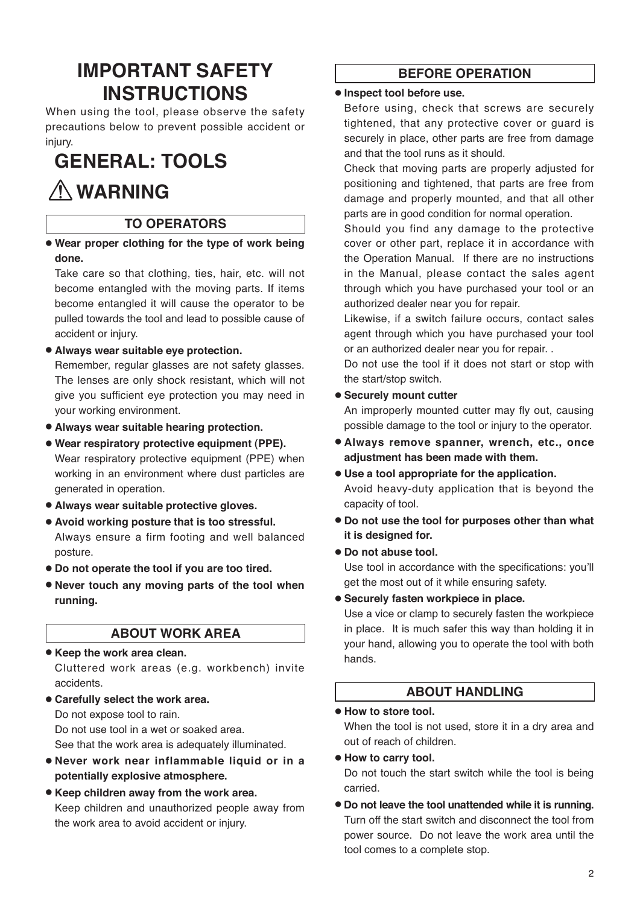## **IMPORTANT SAFETY INSTRUCTIONS**

When using the tool, please observe the safety precautions below to prevent possible accident or injury.

# **GENERAL: TOOLS**

# **WARNING**

#### **TO OPERATORS**

● **Wear proper clothing for the type of work being done.**

Take care so that clothing, ties, hair, etc. will not become entangled with the moving parts. If items become entangled it will cause the operator to be pulled towards the tool and lead to possible cause of accident or injury.

● **Always wear suitable eye protection.** 

Remember, regular glasses are not safety glasses. The lenses are only shock resistant, which will not give you sufficient eye protection you may need in your working environment.

- ● **Always wear suitable hearing protection.**
- ● **Wear respiratory protective equipment (PPE).**  Wear respiratory protective equipment (PPE) when working in an environment where dust particles are generated in operation.
- ● **Always wear suitable protective gloves.**
- ● **Avoid working posture that is too stressful.**  Always ensure a firm footing and well balanced posture.
- ● **Do not operate the tool if you are too tired.**
- ● **Never touch any moving parts of the tool when running.**

#### **ABOUT WORK AREA**

#### ● **Keep the work area clean.**

Cluttered work areas (e.g. workbench) invite accidents.

● **Carefully select the work area.** Do not expose tool to rain. Do not use tool in a wet or soaked area.

See that the work area is adequately illuminated.

- **Never work near inflammable liquid or in a potentially explosive atmosphere.**
- **Keep children away from the work area.** Keep children and unauthorized people away from the work area to avoid accident or injury.

#### **BEFORE OPERATION**

#### ● **Inspect tool before use.**

Before using, check that screws are securely tightened, that any protective cover or guard is securely in place, other parts are free from damage and that the tool runs as it should.

Check that moving parts are properly adjusted for positioning and tightened, that parts are free from damage and properly mounted, and that all other parts are in good condition for normal operation.

Should you find any damage to the protective cover or other part, replace it in accordance with the Operation Manual. If there are no instructions in the Manual, please contact the sales agent through which you have purchased your tool or an authorized dealer near you for repair.

Likewise, if a switch failure occurs, contact sales agent through which you have purchased your tool or an authorized dealer near you for repair. .

Do not use the tool if it does not start or stop with the start/stop switch.

#### ● **Securely mount cutter**

An improperly mounted cutter may fly out, causing possible damage to the tool or injury to the operator.

- **Always remove spanner, wrench, etc., once adjustment has been made with them.**
- **Use a tool appropriate for the application.** Avoid heavy-duty application that is beyond the capacity of tool.
- **Do not use the tool for purposes other than what it is designed for.**
- **Do not abuse tool.**

Use tool in accordance with the specifications: you'll get the most out of it while ensuring safety.

● **Securely fasten workpiece in place.**

Use a vice or clamp to securely fasten the workpiece in place. It is much safer this way than holding it in your hand, allowing you to operate the tool with both hands.

#### **ABOUT HANDLING**

#### ● **How to store tool.**

When the tool is not used, store it in a dry area and out of reach of children.

● **How to carry tool.**

Do not touch the start switch while the tool is being carried.

● **Do not leave the tool unattended while it is running.** Turn off the start switch and disconnect the tool from power source. Do not leave the work area until the tool comes to a complete stop.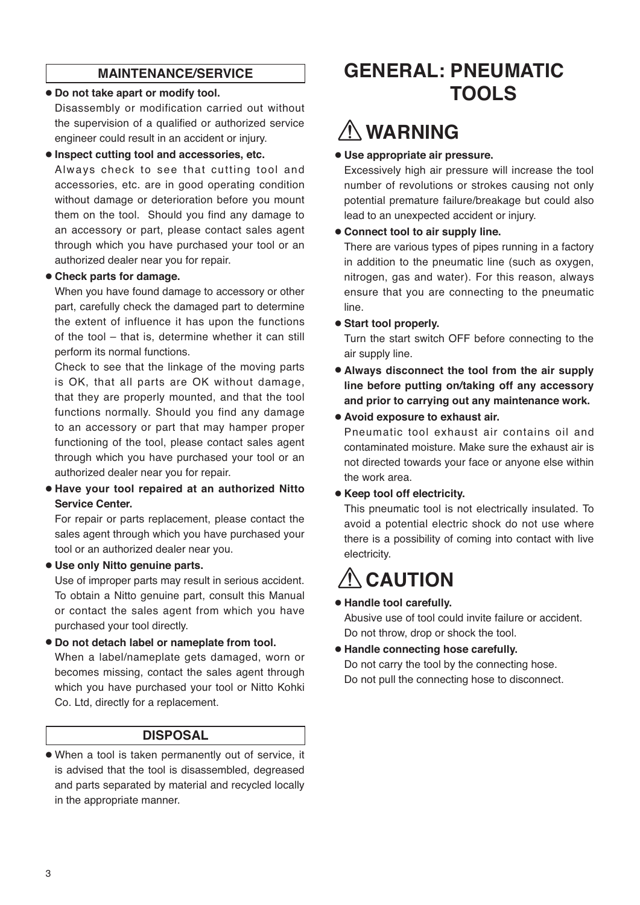#### **MAINTENANCE/SERVICE**

#### ● **Do not take apart or modify tool.**

Disassembly or modification carried out without the supervision of a qualified or authorized service engineer could result in an accident or injury.

#### ● **Inspect cutting tool and accessories, etc.**

Always check to see that cutting tool and accessories, etc. are in good operating condition without damage or deterioration before you mount them on the tool. Should you find any damage to an accessory or part, please contact sales agent through which you have purchased your tool or an authorized dealer near you for repair.

#### ● **Check parts for damage.**

When you have found damage to accessory or other part, carefully check the damaged part to determine the extent of influence it has upon the functions of the tool – that is, determine whether it can still perform its normal functions.

Check to see that the linkage of the moving parts is OK, that all parts are OK without damage, that they are properly mounted, and that the tool functions normally. Should you find any damage to an accessory or part that may hamper proper functioning of the tool, please contact sales agent through which you have purchased your tool or an authorized dealer near you for repair.

#### ● **Have your tool repaired at an authorized Nitto Service Center.**

For repair or parts replacement, please contact the sales agent through which you have purchased your tool or an authorized dealer near you.

#### ● **Use only Nitto genuine parts.**

Use of improper parts may result in serious accident. To obtain a Nitto genuine part, consult this Manual or contact the sales agent from which you have purchased your tool directly.

● **Do not detach label or nameplate from tool.** 

When a label/nameplate gets damaged, worn or becomes missing, contact the sales agent through which you have purchased your tool or Nitto Kohki Co. Ltd, directly for a replacement.

#### **DISPOSAL**

● When a tool is taken permanently out of service, it is advised that the tool is disassembled, degreased and parts separated by material and recycled locally in the appropriate manner.

## **GENERAL: PNEUMATIC TOOLS**

# **WARNING**

● **Use appropriate air pressure.**

Excessively high air pressure will increase the tool number of revolutions or strokes causing not only potential premature failure/breakage but could also lead to an unexpected accident or injury.

#### ● **Connect tool to air supply line.**

There are various types of pipes running in a factory in addition to the pneumatic line (such as oxygen, nitrogen, gas and water). For this reason, always ensure that you are connecting to the pneumatic line.

● **Start tool properly.**

Turn the start switch OFF before connecting to the air supply line.

- **Always disconnect the tool from the air supply line before putting on/taking off any accessory and prior to carrying out any maintenance work.**
- **Avoid exposure to exhaust air.**

Pneumatic tool exhaust air contains oil and contaminated moisture. Make sure the exhaust air is not directed towards your face or anyone else within the work area.

#### ● **Keep tool off electricity.**

This pneumatic tool is not electrically insulated. To avoid a potential electric shock do not use where there is a possibility of coming into contact with live electricity.

# $\land$  CAUTION

#### ● **Handle tool carefully.**

Abusive use of tool could invite failure or accident. Do not throw, drop or shock the tool.

● **Handle connecting hose carefully.** Do not carry the tool by the connecting hose. Do not pull the connecting hose to disconnect.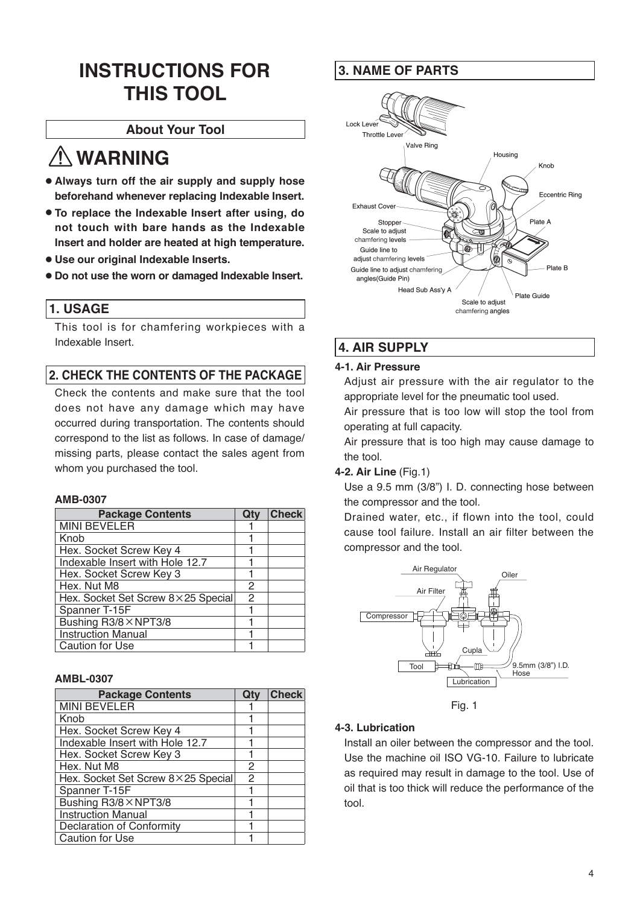## **INSTRUCTIONS FOR THIS TOOL**

#### **About Your Tool**

# **WARNING**

- ● **Always turn off the air supply and supply hose beforehand whenever replacing Indexable Insert.**
- ● **To replace the Indexable Insert after using, do not touch with bare hands as the Indexable Insert and holder are heated at high temperature.**
- ● **Use our original Indexable Inserts.**
- ● **Do not use the worn or damaged Indexable Insert.**

#### **1. USAGE**

This tool is for chamfering workpieces with a Indexable Insert.

#### **2. CHECK THE CONTENTS OF THE PACKAGE**

Check the contents and make sure that the tool does not have any damage which may have occurred during transportation. The contents should correspond to the list as follows. In case of damage/ missing parts, please contact the sales agent from whom you purchased the tool.

#### **AMB-0307**

| <b>Package Contents</b>            | Qty | <b>Check</b> |
|------------------------------------|-----|--------------|
| <b>MINI BEVELER</b>                |     |              |
| Knob                               |     |              |
| Hex. Socket Screw Key 4            |     |              |
| Indexable Insert with Hole 12.7    |     |              |
| Hex. Socket Screw Key 3            |     |              |
| Hex. Nut M8                        | 2   |              |
| Hex. Socket Set Screw 8×25 Special | 2   |              |
| Spanner T-15F                      |     |              |
| Bushing R3/8 × NPT3/8              |     |              |
| <b>Instruction Manual</b>          |     |              |
| Caution for Use                    |     |              |

#### **AMBL-0307**

| <b>Package Contents</b>            | Qtv            | <b>Check</b> |
|------------------------------------|----------------|--------------|
| <b>MINI BEVELER</b>                |                |              |
| Knob                               |                |              |
| Hex. Socket Screw Key 4            |                |              |
| Indexable Insert with Hole 12.7    |                |              |
| Hex. Socket Screw Key 3            |                |              |
| Hex. Nut M8                        | $\mathfrak{p}$ |              |
| Hex. Socket Set Screw 8×25 Special | $\mathfrak{D}$ |              |
| Spanner T-15F                      |                |              |
| Bushing R3/8 × NPT3/8              |                |              |
| <b>Instruction Manual</b>          |                |              |
| Declaration of Conformity          |                |              |
| <b>Caution for Use</b>             |                |              |

#### **3. NAME OF PARTS**



### **4. AIR SUPPLY**

#### **4-1. Air Pressure**

Adjust air pressure with the air regulator to the appropriate level for the pneumatic tool used.

Air pressure that is too low will stop the tool from operating at full capacity.

Air pressure that is too high may cause damage to the tool.

#### **4-2. Air Line** (Fig.1)

Use a 9.5 mm (3/8") I. D. connecting hose between the compressor and the tool.

Drained water, etc., if flown into the tool, could cause tool failure. Install an air filter between the compressor and the tool.



Fig. 1

#### **4-3. Lubrication**

Install an oiler between the compressor and the tool. Use the machine oil ISO VG-10. Failure to lubricate as required may result in damage to the tool. Use of oil that is too thick will reduce the performance of the tool.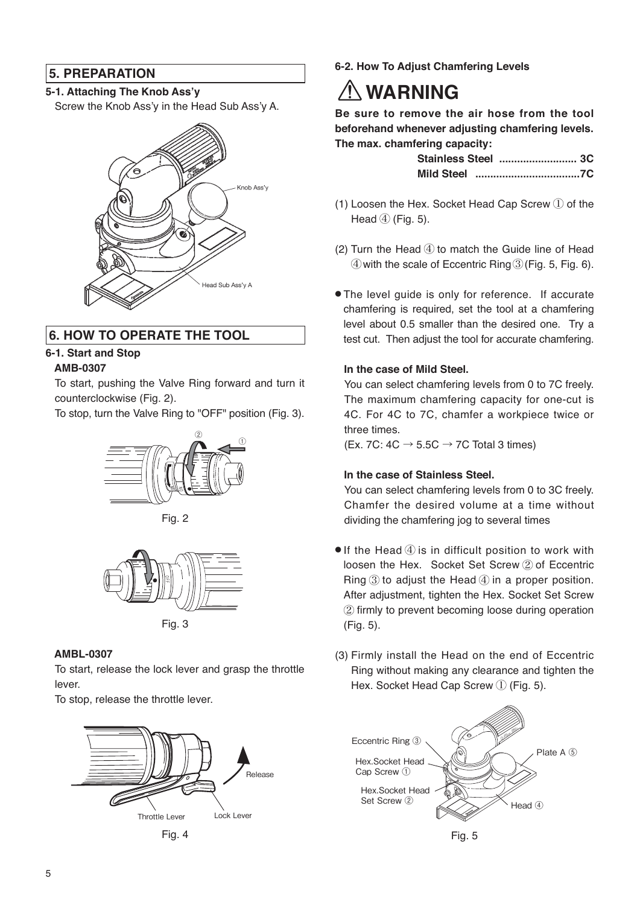#### **5. PREPARATION**

#### **5-1. Attaching The Knob Ass'y**

Screw the Knob Ass'y in the Head Sub Ass'y A.



#### **6. HOW TO OPERATE THE TOOL**

#### **6-1. Start and Stop AMB-0307**

To start, pushing the Valve Ring forward and turn it counterclockwise (Fig. 2).

To stop, turn the Valve Ring to "OFF" position (Fig. 3).



Fig. 2



Fig. 3

#### **AMBL-0307**

To start, release the lock lever and grasp the throttle lever.

To stop, release the throttle lever.





**6-2. How To Adjust Chamfering Levels**

# **WARNING**

**Be sure to remove the air hose from the tool beforehand whenever adjusting chamfering levels. The max. chamfering capacity:**

| Stainless Steel  3C |  |
|---------------------|--|
|                     |  |

- (1) Loosen the Hex. Socket Head Cap Screw ① of the Head  $(4)$  (Fig. 5).
- (2) Turn the Head  $(4)$  to match the Guide line of Head ④with the scale of Eccentric Ring③(Fig. 5, Fig. 6).
- The level guide is only for reference. If accurate chamfering is required, set the tool at a chamfering level about 0.5 smaller than the desired one. Try a test cut. Then adjust the tool for accurate chamfering.

#### **In the case of Mild Steel.**

You can select chamfering levels from 0 to 7C freely. The maximum chamfering capacity for one-cut is 4C. For 4C to 7C, chamfer a workpiece twice or three times.

(Ex. 7C:  $4C \rightarrow 5.5C \rightarrow 7C$  Total 3 times)

#### **In the case of Stainless Steel.**

You can select chamfering levels from 0 to 3C freely. Chamfer the desired volume at a time without dividing the chamfering jog to several times

- $\bullet$  If the Head  $\ddot{a}$  is in difficult position to work with loosen the Hex. Socket Set Screw ② of Eccentric Ring ③ to adjust the Head ④ in a proper position. After adjustment, tighten the Hex. Socket Set Screw ② firmly to prevent becoming loose during operation (Fig. 5).
- (3) Firmly install the Head on the end of Eccentric Ring without making any clearance and tighten the Hex. Socket Head Cap Screw ① (Fig. 5).



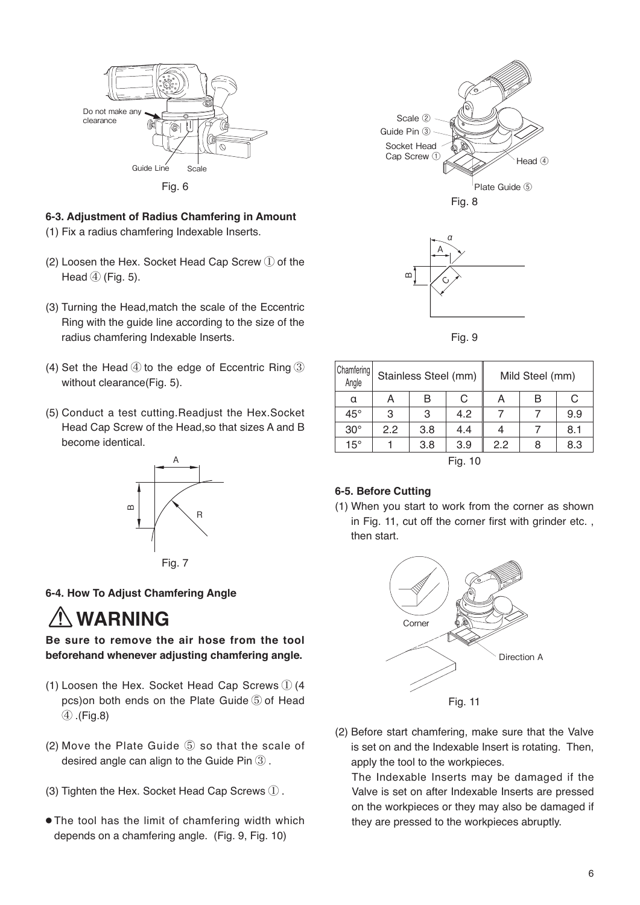

#### **6-3. Adjustment of Radius Chamfering in Amount**

- (1) Fix a radius chamfering Indexable Inserts.
- (2) Loosen the Hex. Socket Head Cap Screw ① of the Head  $(4)$  (Fig. 5).
- (3) Turning the Head,match the scale of the Eccentric Ring with the guide line according to the size of the radius chamfering Indexable Inserts.
- (4) Set the Head  $\textcircled{4}$  to the edge of Eccentric Ring  $\textcircled{3}$ without clearance(Fig. 5).
- (5) Conduct a test cutting.Readjust the Hex.Socket Head Cap Screw of the Head,so that sizes A and B become identical.



#### **6-4. How To Adjust Chamfering Angle**

# **WARNING**

**Be sure to remove the air hose from the tool beforehand whenever adjusting chamfering angle.**

- (1) Loosen the Hex. Socket Head Cap Screws ① (4 pcs)on both ends on the Plate Guide ⑤ of Head ④ .(Fig.8)
- (2) Move the Plate Guide ⑤ so that the scale of desired angle can align to the Guide Pin ③ .
- (3) Tighten the Hex. Socket Head Cap Screws ① .
- The tool has the limit of chamfering width which depends on a chamfering angle. (Fig. 9, Fig. 10)





Fig. 9

| Chamfering<br>Angle |     | Stainless Steel (mm) |         |     | Mild Steel (mm) |     |
|---------------------|-----|----------------------|---------|-----|-----------------|-----|
| α                   | A   | в                    | C       | A   | B               | C   |
| $45^{\circ}$        | 3   | 3                    | 4.2     |     |                 | 9.9 |
| $30^\circ$          | 2.2 | 3.8                  | 4.4     |     |                 | 8.1 |
| $15^{\circ}$        |     | 3.8                  | 3.9     | 2.2 | 8               | 8.3 |
|                     |     |                      | Fig. 10 |     |                 |     |

#### **6-5. Before Cutting**

<sup>(1)</sup> When you start to work from the corner as shown in Fig. 11, cut off the corner first with grinder etc. , then start.



(2) Before start chamfering, make sure that the Valve is set on and the Indexable Insert is rotating. Then, apply the tool to the workpieces.

The Indexable Inserts may be damaged if the Valve is set on after Indexable Inserts are pressed on the workpieces or they may also be damaged if they are pressed to the workpieces abruptly.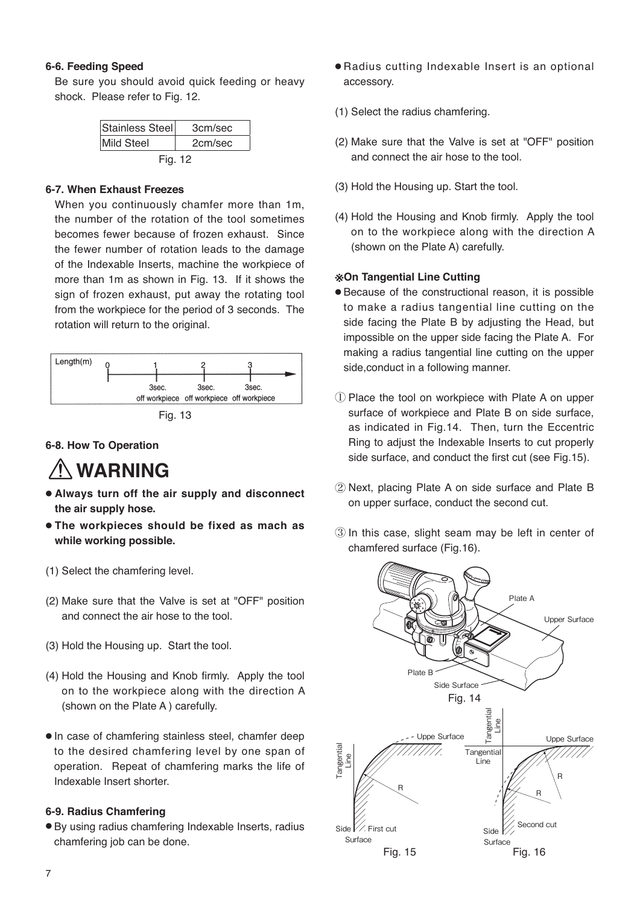#### **6-6. Feeding Speed**

Be sure you should avoid quick feeding or heavy shock. Please refer to Fig. 12.

| Stainless Steel   | 3cm/sec |
|-------------------|---------|
| <b>Mild Steel</b> | 2cm/sec |
| Fig. 12           |         |

#### **6-7. When Exhaust Freezes**

When you continuously chamfer more than 1m, the number of the rotation of the tool sometimes becomes fewer because of frozen exhaust. Since the fewer number of rotation leads to the damage of the Indexable Inserts, machine the workpiece of more than 1m as shown in Fig. 13. If it shows the sign of frozen exhaust, put away the rotating tool from the workpiece for the period of 3 seconds. The rotation will return to the original.



Fig. 13

#### **6-8. How To Operation**

## **WARNING**

- **Always turn off the air supply and disconnect the air supply hose.**
- **The workpieces should be fixed as mach as while working possible.**
- (1) Select the chamfering level.
- (2) Make sure that the Valve is set at "OFF" position and connect the air hose to the tool.
- (3) Hold the Housing up. Start the tool.
- (4) Hold the Housing and Knob firmly. Apply the tool on to the workpiece along with the direction A (shown on the Plate A ) carefully.
- In case of chamfering stainless steel, chamfer deep to the desired chamfering level by one span of operation. Repeat of chamfering marks the life of Indexable Insert shorter.

#### **6-9. Radius Chamfering**

● By using radius chamfering Indexable Inserts, radius chamfering job can be done.

- Radius cutting Indexable Insert is an optional accessory.
- (1) Select the radius chamfering.
- (2) Make sure that the Valve is set at "OFF" position and connect the air hose to the tool.
- (3) Hold the Housing up. Start the tool.
- (4) Hold the Housing and Knob firmly. Apply the tool on to the workpiece along with the direction A (shown on the Plate A) carefully.

#### **※On Tangential Line Cutting**

- Because of the constructional reason, it is possible to make a radius tangential line cutting on the side facing the Plate B by adjusting the Head, but impossible on the upper side facing the Plate A. For making a radius tangential line cutting on the upper side,conduct in a following manner.
- ① Place the tool on workpiece with Plate A on upper surface of workpiece and Plate B on side surface, as indicated in Fig.14. Then, turn the Eccentric Ring to adjust the Indexable Inserts to cut properly side surface, and conduct the first cut (see Fig.15).
- ② Next, placing Plate A on side surface and Plate B on upper surface, conduct the second cut.
- ③ In this case, slight seam may be left in center of chamfered surface (Fig.16).

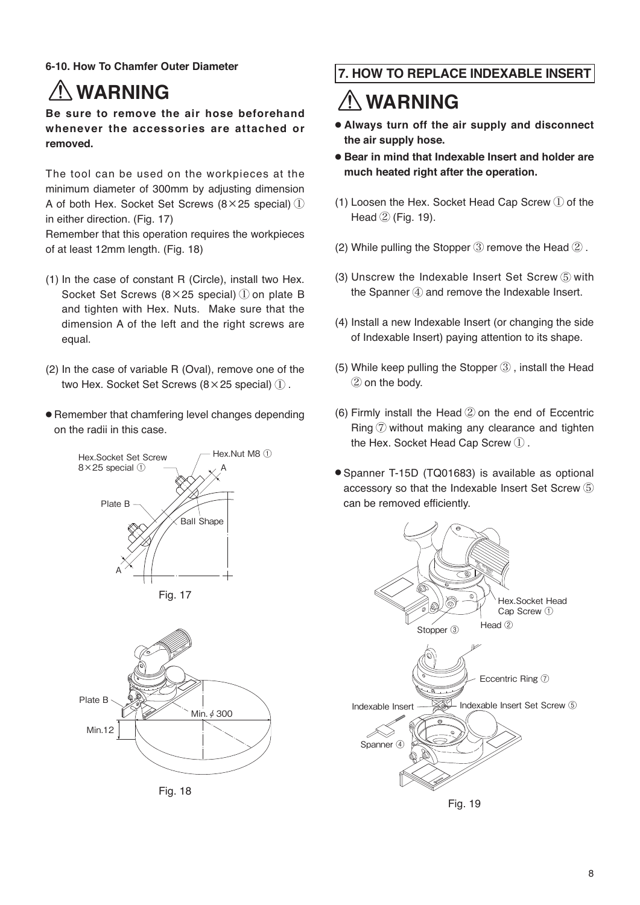#### **6-10. How To Chamfer Outer Diameter**

# **WARNING**

**Be sure to remove the air hose beforehand whenever the accessories are attached or removed.**

The tool can be used on the workpieces at the minimum diameter of 300mm by adjusting dimension A of both Hex. Socket Set Screws (8×25 special) ① in either direction. (Fig. 17)

Remember that this operation requires the workpieces of at least 12mm length. (Fig. 18)

- (1) In the case of constant R (Circle), install two Hex. Socket Set Screws (8×25 special) ① on plate B and tighten with Hex. Nuts. Make sure that the dimension A of the left and the right screws are equal.
- (2) In the case of variable R (Oval), remove one of the two Hex. Socket Set Screws (8×25 special) ① .
- Remember that chamfering level changes depending on the radii in this case.





Fig. 18

#### **7. HOW TO REPLACE INDEXABLE INSERT**

# **WARNING**

- **Always turn off the air supply and disconnect the air supply hose.**
- **Bear in mind that Indexable Insert and holder are much heated right after the operation.**
- (1) Loosen the Hex. Socket Head Cap Screw  $(1)$  of the Head ② (Fig. 19).
- (2) While pulling the Stopper  $(3)$  remove the Head  $(2)$ .
- (3) Unscrew the Indexable Insert Set Screw ⑤ with the Spanner  $\mathcal{A}$  and remove the Indexable Insert.
- (4) Install a new Indexable Insert (or changing the side of Indexable Insert) paying attention to its shape.
- (5) While keep pulling the Stopper ③ , install the Head ② on the body.
- (6) Firmly install the Head ② on the end of Eccentric Ring ⑦ without making any clearance and tighten the Hex. Socket Head Cap Screw ① .
- Spanner T-15D (TQ01683) is available as optional accessory so that the Indexable Insert Set Screw ⑤ can be removed efficiently.

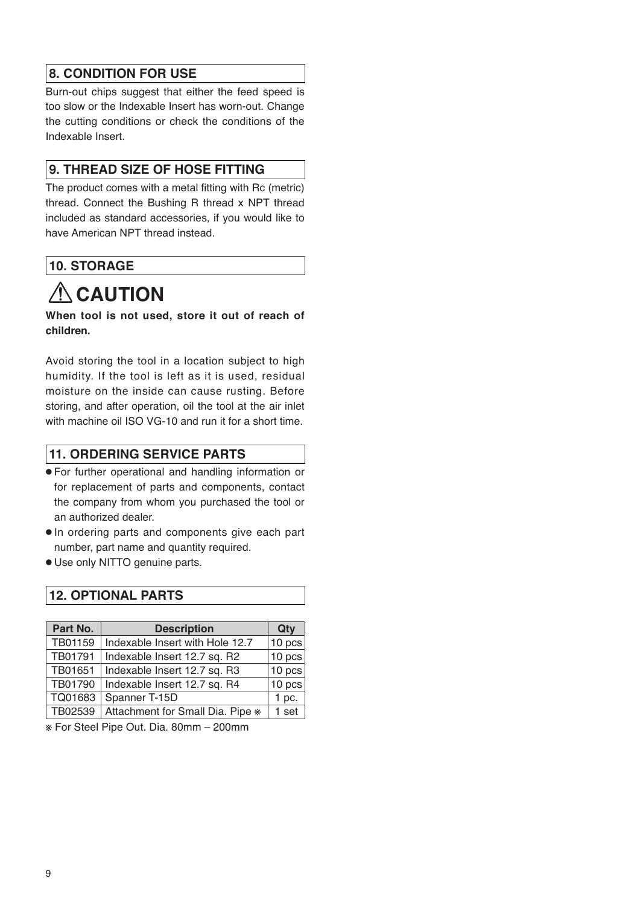#### **8. CONDITION FOR USE**

Burn-out chips suggest that either the feed speed is too slow or the Indexable Insert has worn-out. Change the cutting conditions or check the conditions of the Indexable Insert.

#### **9. THREAD SIZE OF HOSE FITTING**

The product comes with a metal fitting with Rc (metric) thread. Connect the Bushing R thread x NPT thread included as standard accessories, if you would like to have American NPT thread instead.

#### **10. STORAGE**

# **ACAUTION**

**When tool is not used, store it out of reach of children.**

Avoid storing the tool in a location subject to high humidity. If the tool is left as it is used, residual moisture on the inside can cause rusting. Before storing, and after operation, oil the tool at the air inlet with machine oil ISO VG-10 and run it for a short time.

#### **11. ORDERING SERVICE PARTS**

- For further operational and handling information or for replacement of parts and components, contact the company from whom you purchased the tool or an authorized dealer.
- In ordering parts and components give each part number, part name and quantity required.
- Use only NITTO genuine parts.

#### **12. OPTIONAL PARTS**

| Part No. | <b>Description</b>               | Qty     |
|----------|----------------------------------|---------|
| TB01159  | Indexable Insert with Hole 12.7  | 10 pcs  |
| TB01791  | Indexable Insert 12.7 sq. R2     | 10 pcs  |
| TB01651  | Indexable Insert 12.7 sq. R3     | 10 pcs  |
| TB01790  | Indexable Insert 12.7 sq. R4     | 10 pcs  |
| TQ01683  | Spanner T-15D                    | $1$ pc. |
| TB02539  | Attachment for Small Dia. Pipe * | 1 set   |

※ For Steel Pipe Out. Dia. 80mm – 200mm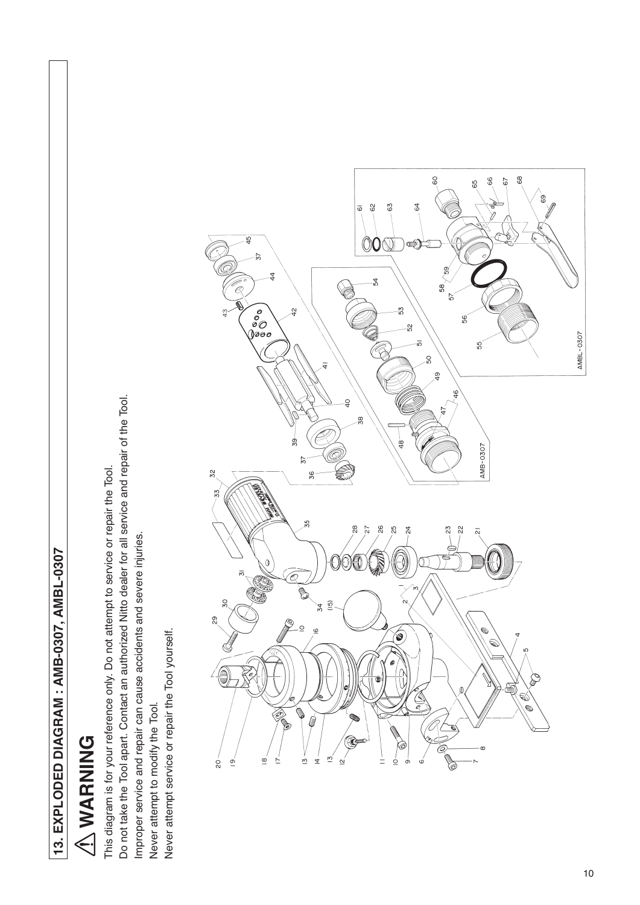13. EXPLODED DIAGRAM: AMB-0307, AMBL-0307 **13. EXPLODED DIAGRAM : AMB-0307, AMBL-0307**

# **ANARNING WARNING**

Do not take the Tool apart. Contact an authorized Nitto dealer for all service and repair of the Tool. Do not take the Tool apart. Contact an authorized Nitto dealer for all service and repair of the Tool. This diagram is for your reference only. Do not attempt to service or repair the Tool. This diagram is for your reference only. Do not attempt to service or repair the Tool. Improper service and repair can cause accidents and severe injuries. Improper service and repair can cause accidents and severe injuries. Never attempt service or repair the Tool yourself. Never attempt service or repair the Tool yourself. Never attempt to modify the Tool. Never attempt to modify the Tool.

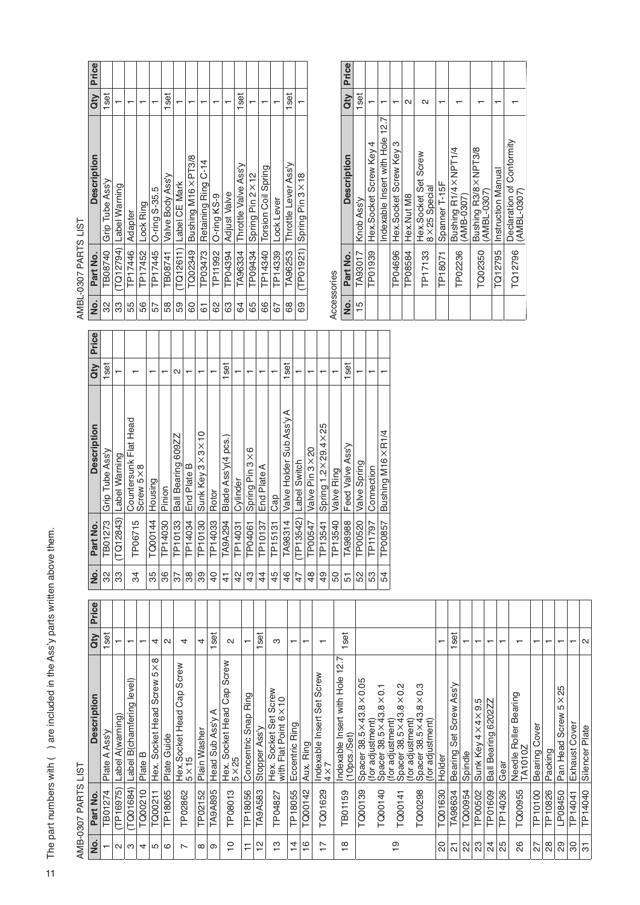$\overrightarrow{ }$  The part numbers with ( ) are included in the Ass'y parts written above them.  $\exists$  The part numbers with ( ) are included in the Ass'y parts written above them.

AMB-0307 PARTS LIST AMB-0307 PARTS LIST

| i      |
|--------|
| ſ<br>г |
| ć      |
|        |

| o<br>2 | Part No.  | <b>Description</b>                   | <b>Qty</b> | Price |
|--------|-----------|--------------------------------------|------------|-------|
| 32     | TB08740   | Grip Tube Ass'y                      | 1set       |       |
| က္ကိ   |           | (TQ12794)  Label Warning             |            |       |
| 55     | TP17446   | Adapter                              |            |       |
| 56     | TP17452   | Lock Ring                            |            |       |
| 57     | TP17445   | O-ring S-35.5                        |            |       |
| 58     | TB08741   | Valve Body Ass'y                     | 1set       |       |
| 59     | (TQ12611) | Label CE Mark                        |            |       |
| 80     | TQ02349   | Bushing M16×PT3/8                    |            |       |
| 51     | TP03473   | Retaining Ring C-14                  |            |       |
| 89     | TP11992   | O-ring KS-9                          |            |       |
| 83     | TP04394   | <b>Adjust Valve</b>                  |            |       |
| 64     | TA96334   | Throttle Valve Ass'y                 | 1set       |       |
| 65     | TP09434   | Spring Pin 2×12                      |            |       |
| 89     | TP14340   | Torsion Coil Spring                  |            |       |
| 67     | TP14339   | Lock Lever                           |            |       |
| 89     | TA96253   | Throttle Lever Ass'y                 | 1set       |       |
| 89     |           | $(TP01921)$ Spring Pin $3 \times 18$ |            |       |
|        |           |                                      |            |       |

.<br>من Accessories  $\tilde{\zeta}$ 

|                | Accessories |                                               |                   |           |
|----------------|-------------|-----------------------------------------------|-------------------|-----------|
| .ok            | Part No.    | <b>Description</b>                            |                   | Qty Price |
| $\frac{15}{1}$ | TA93017     | Knob Ass'y                                    | 1set              |           |
|                | TP01939     | Hex.Socket Screw Key 4                        |                   |           |
|                |             | Indexable Insert with Hole 12.7               |                   |           |
|                | TP04696     | Hex. Socket Screw Key 3                       |                   |           |
|                | TP08584     | Hex.Nut M8                                    | $\mathbf{\Omega}$ |           |
|                | TP17133     | Hex.Socket Set Screw<br>$8 \times 25$ Special | $\sim$            |           |
|                | TP18071     | Spanner T-15F                                 |                   |           |
|                | TP02236     | Bushing R1/4 × NPT1/4<br>(AMB-0307)           |                   |           |
|                | TQ02350     | Bushing R3/8 × NPT3/8<br>(AMBL-0307)          |                   |           |
|                |             | TQ12795 Instruction Manual                    |                   |           |
|                | TQ12796     | Declaration of Conformity<br>(AMBL-0307)      |                   |           |

| Զ | <u>ş</u>       | Part No.            | <b>Description</b>                 | dty  | Price |
|---|----------------|---------------------|------------------------------------|------|-------|
|   | 32             | TB01273             | Grip Tube Ass'y                    | 1set |       |
|   | 33             | (TQ12843)           | Label Warning                      | ↽    |       |
|   | \$             | TP06715             | Countersunk Flat Head<br>Screw 5×8 |      |       |
|   | 35             | TQ00144             | Housing                            | ᠇    |       |
|   | 36             | TP14030             | Pinion                             |      |       |
|   | 57             | TP10133             | Ball Bearing 609ZZ                 | N    |       |
|   | 38             | TP14034             | End Plate B                        | ↽    |       |
|   | 89             | TP10130             | Sunk Key 3×3×10                    | ᠇    |       |
|   | QP             | TP14033             | Rotor                              | ┯    |       |
|   | 4              | TA9A294             | Blade Ass'y(4 pcs.                 | 1set |       |
|   | $\frac{2}{3}$  | TP14031             | Cylinder                           |      |       |
|   | 43             | TP04061             | Spring Pin 3×6                     | ↽    |       |
|   | 4              | TP10137             | End Plate A                        | ᠇    |       |
|   | 45             | TP15131             | Cap                                | ۳    |       |
|   | $\frac{4}{6}$  | TA98314             | Valve Holder Sub Ass'y A           | 1set |       |
|   | 47             | TP13542)            | Label Switch                       |      |       |
|   | $\frac{48}{5}$ | TP00547             | Valve Pin 3 × 20                   | ᠇    |       |
|   | 49             | TP13541             | Spring 1.2×29.4×25                 | ┯    |       |
|   | 50             | TP13540             | Valve Ring                         | ۳    |       |
|   | 5              | TA98988             | Feed Valve Ass'y                   | 1set |       |
|   | 52             | TP00520             | Valve Spring                       |      |       |
|   | S3             | TP <sub>11797</sub> | Connection                         | ᠇    |       |
|   | 54             | TP00857             | Bushing M16×R1/4                   | ↽    |       |

|                                            | くこく<br>VCC-qINF | $\frac{1}{2}$                                                                |                                        |       |
|--------------------------------------------|-----------------|------------------------------------------------------------------------------|----------------------------------------|-------|
| <u>ó</u>                                   | Part No.        | Description                                                                  | dty                                    | Price |
|                                            | TB01274         | Ass'y<br>⋖<br>Plate                                                          | 1set                                   |       |
| $\sim$                                     | TP16975)        | Label A(warning)                                                             | ↽                                      |       |
| ო                                          | TQ01684)        | Label B(chamfering level)                                                    | $\overline{\phantom{0}}$               |       |
| 4                                          | TQ00210         | ≃<br>Plate                                                                   | $\mathbf -$                            |       |
| 5                                          | TQ00211         | $\infty$<br>$\times$<br>5<br>Screw<br>Socket Head<br>Hex.                    | 4                                      |       |
| ဖ                                          | TP18065         | Plate Guide                                                                  | $\sim$                                 |       |
| ∼                                          | TP02862         | Screw<br>Cap<br>Hex.Socket Head<br>5×15                                      | 4                                      |       |
| $\infty$                                   | TP02152         | Plain Washer                                                                 | 4                                      |       |
| ၜ                                          | <b>TA9A895</b>  | ⋖<br>Head Sub Ass'y                                                          | <b>set</b><br>$\mathbf -$              |       |
| $\tilde{c}$                                | TP08013         | Screw<br>Cap<br>Socket Head<br>Hex. S<br>5×25                                | $\sim$                                 |       |
| ₣                                          | TP18056         | Ring<br>Concentric Snap                                                      | $\overline{\phantom{0}}$               |       |
| 은                                          | <b>TA9A583</b>  | Stopper Ass'y                                                                | <b>set</b><br>$\overline{\phantom{0}}$ |       |
| င္                                         | TP04827         | Screw<br>$\times 10$<br>Socket Set<br>Hex. Socket Set<br>with Flat Point 6   | ო                                      |       |
| $\overline{4}$                             | TP18055         | Eccentric Ring                                                               | $\overline{\phantom{0}}$               |       |
| $\frac{6}{1}$                              | TQ00142         | Aux. Ring                                                                    | $\overline{\phantom{0}}$               |       |
| $\overline{\phantom{0}}$<br>$\overline{ }$ | TQ01629         | Screw<br>Set<br>Indexable Insert<br>$4 \times 7$                             | $\overline{\phantom{0}}$               |       |
| $\infty$<br>÷                              | <b>TB01159</b>  | 12.7<br>Indexable Insert with Hole<br>(10 <sub>DCS</sub> . <sub>/Set</sub> ) | set<br>ᅮ                               |       |
|                                            | TQ00139         | Spacer 38.5 × 43.8 × 0.05                                                    |                                        |       |
|                                            | TQ00140         | (for adjustment)<br>Spacer 38.5 × 43.8 × 0.1                                 |                                        |       |
| စ္                                         | TQ00141         | $38.5 \times 43.8 \times 0.2$<br>(for adjustment)<br>Spacer                  |                                        |       |
|                                            |                 | (for adjustment)<br>Spacer 38.5 × 43                                         |                                        |       |
|                                            | TQ00298         | $38.5 \times 43.8 \times 0.3$<br>(for adjustment)                            |                                        |       |
| S                                          | TQ01630         | Holder                                                                       | $\mathbf$                              |       |
| 5                                          | TA98634         | Ass'y<br>Screw<br>Set<br>Bearing                                             | set<br>$\mathbf -$                     |       |
| 2                                          | TQ00954         | Spindle                                                                      | ↽                                      |       |
| ಔ                                          | TP00502         | Ю<br>တ<br>$4\times$<br>$\frac{1}{4}$<br>Sunk Key                             | $\overline{\phantom{0}}$               |       |
| $\overline{2}$                             | TP01609         | 620277<br><b>Ball Bearing</b>                                                | $\overline{\phantom{0}}$               |       |
| 25                                         | TP14036         | Gear                                                                         | $\mathbf$ $\mathbf$                    |       |
| 88                                         | TQ00955         | Needle Roller Bearing<br><b>TA1010Z</b>                                      | $\overline{\phantom{0}}$               |       |
| 27                                         | TP10100         | Cover<br>Bearing                                                             | ↽                                      |       |
| $\frac{8}{2}$                              | TP10826         | Packing                                                                      | $\overline{\phantom{0}}$               |       |
| ခြ                                         | LP08450         | 25<br>$5\times$<br>Screw<br>Pan Head                                         | $\mathbf -$                            |       |
| 8                                          | TP14041         | Cover<br>Exhaust                                                             | $\overline{\phantom{0}}$               |       |
| ನ                                          | TP14040         | Silencer Plate                                                               | $\sim$                                 |       |
|                                            |                 |                                                                              |                                        |       |